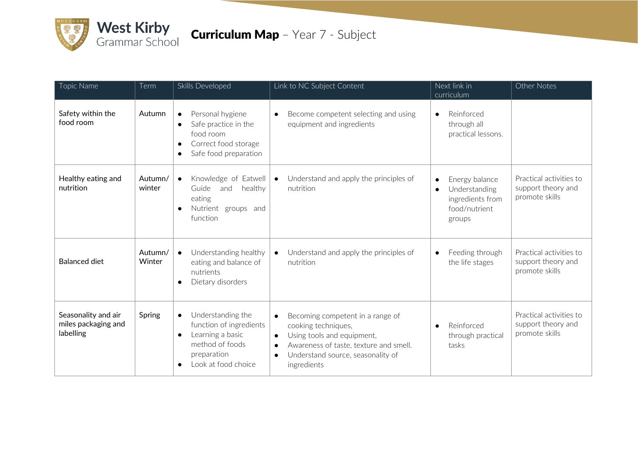

## **Curriculum Map** - Year 7 - Subject

| Topic Name                                              | Term              | Skills Developed                                                                                                                                                 | Link to NC Subject Content                                                                                                                                                                                                 | Next link in<br>curriculum                                                                  | Other Notes                                                     |
|---------------------------------------------------------|-------------------|------------------------------------------------------------------------------------------------------------------------------------------------------------------|----------------------------------------------------------------------------------------------------------------------------------------------------------------------------------------------------------------------------|---------------------------------------------------------------------------------------------|-----------------------------------------------------------------|
| Safety within the<br>food room                          | Autumn            | Personal hygiene<br>$\bullet$<br>Safe practice in the<br>$\bullet$<br>food room<br>Correct food storage<br>$\bullet$<br>Safe food preparation<br>$\bullet$       | Become competent selecting and using<br>$\bullet$<br>equipment and ingredients                                                                                                                                             | Reinforced<br>$\bullet$<br>through all<br>practical lessons.                                |                                                                 |
| Healthy eating and<br>nutrition                         | Autumn/<br>winter | Knowledge of Eatwell<br>$\bullet$<br>Guide<br>and healthy<br>eating<br>Nutrient groups and<br>$\bullet$<br>function                                              | Understand and apply the principles of<br>$\bullet$<br>nutrition                                                                                                                                                           | Energy balance<br>$\bullet$<br>Understanding<br>ingredients from<br>food/nutrient<br>groups | Practical activities to<br>support theory and<br>promote skills |
| <b>Balanced diet</b>                                    | Autumn/<br>Winter | Understanding healthy<br>$\bullet$<br>eating and balance of<br>nutrients<br>Dietary disorders<br>$\bullet$                                                       | Understand and apply the principles of<br>nutrition                                                                                                                                                                        | Feeding through<br>$\bullet$<br>the life stages                                             | Practical activities to<br>support theory and<br>promote skills |
| Seasonality and air<br>miles packaging and<br>labelling | Spring            | Understanding the<br>$\bullet$<br>function of ingredients<br>Learning a basic<br>$\bullet$<br>method of foods<br>preparation<br>Look at food choice<br>$\bullet$ | Becoming competent in a range of<br>cooking techniques,<br>Using tools and equipment,<br>$\bullet$<br>Awareness of taste, texture and smell.<br>$\bullet$<br>Understand source, seasonality of<br>$\bullet$<br>ingredients | Reinforced<br>$\bullet$<br>through practical<br>tasks                                       | Practical activities to<br>support theory and<br>promote skills |